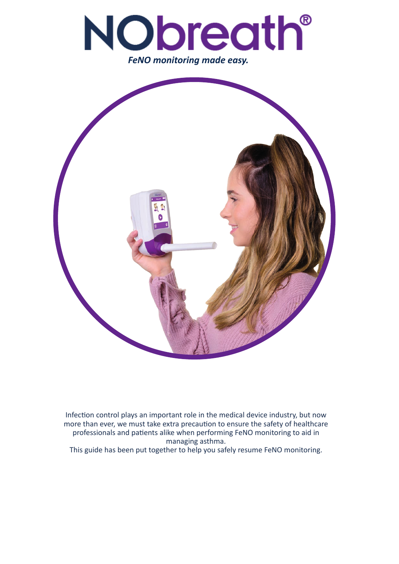



Infection control plays an important role in the medical device industry, but now more than ever, we must take extra precaution to ensure the safety of healthcare professionals and patients alike when performing FeNO monitoring to aid in managing asthma.

This guide has been put together to help you safely resume FeNO monitoring.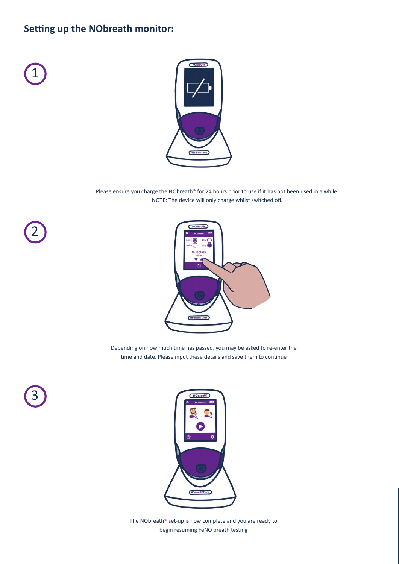## **Setting up the NObreath monitor:**



2

3



Please ensure you charge the NObreath® for 24 hours prior to use if it has not been used in a while. NOTE: The device will only charge whilst switched off.



Depending on how much time has passed, you may be asked to re-enter the time and date. Please input these details and save them to continue



The NObreath®️ set-up is now complete and you are ready to begin resuming FeNO breath testing